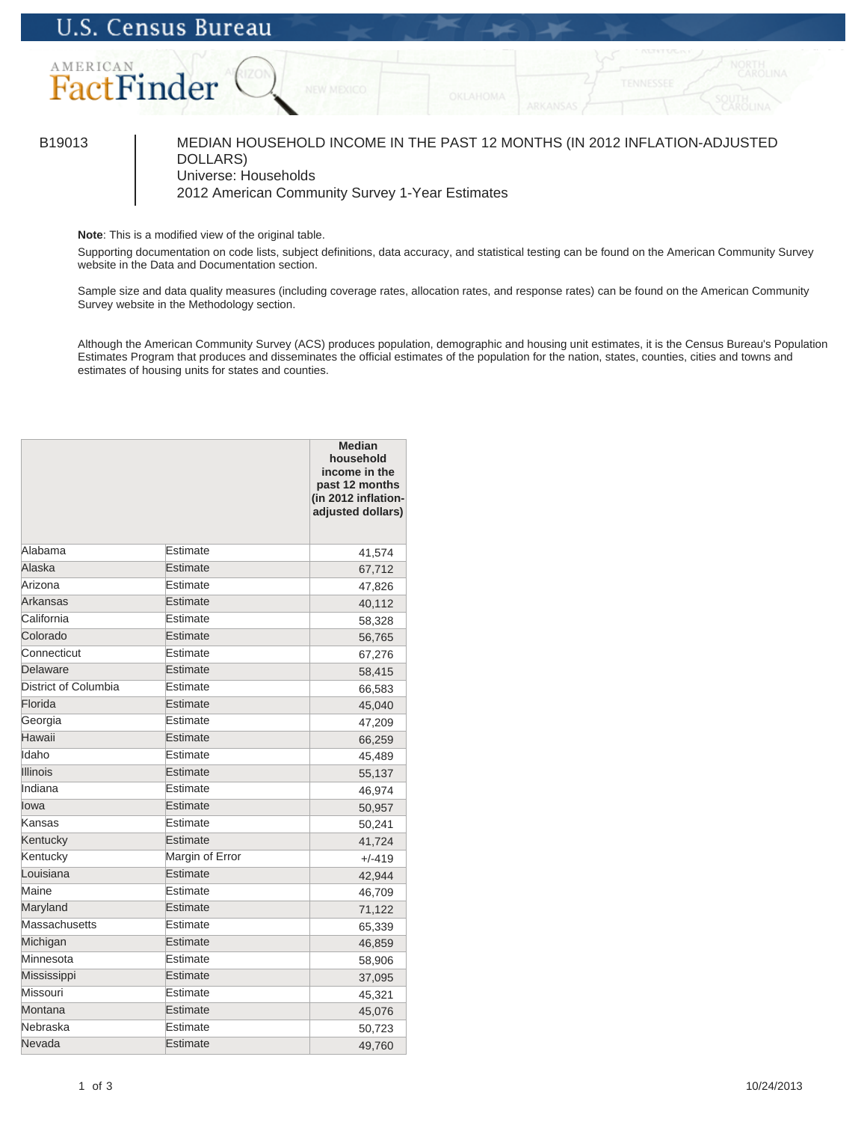

DOLLARS) Universe: Households 2012 American Community Survey 1-Year Estimates

**Note**: This is a modified view of the original table.

Supporting documentation on code lists, subject definitions, data accuracy, and statistical testing can be found on the American Community Survey website in the Data and Documentation section.

Sample size and data quality measures (including coverage rates, allocation rates, and response rates) can be found on the American Community Survey website in the Methodology section.

Although the American Community Survey (ACS) produces population, demographic and housing unit estimates, it is the Census Bureau's Population Estimates Program that produces and disseminates the official estimates of the population for the nation, states, counties, cities and towns and estimates of housing units for states and counties.

|                      |                 | <b>Median</b><br>household<br>income in the<br>past 12 months<br>(in 2012 inflation-<br>adjusted dollars) |
|----------------------|-----------------|-----------------------------------------------------------------------------------------------------------|
| Alabama              | Estimate        | 41,574                                                                                                    |
| Alaska               | Estimate        | 67,712                                                                                                    |
| Arizona              | Estimate        | 47,826                                                                                                    |
| <b>Arkansas</b>      | Estimate        | 40,112                                                                                                    |
| California           | Estimate        | 58,328                                                                                                    |
| Colorado             | Estimate        | 56,765                                                                                                    |
| Connecticut          | Estimate        | 67,276                                                                                                    |
| Delaware             | Estimate        | 58,415                                                                                                    |
| District of Columbia | Estimate        | 66,583                                                                                                    |
| Florida              | Estimate        | 45,040                                                                                                    |
| Georgia              | Estimate        | 47,209                                                                                                    |
| Hawaii               | Estimate        | 66,259                                                                                                    |
| Idaho                | Estimate        | 45,489                                                                                                    |
| <b>Illinois</b>      | Estimate        | 55,137                                                                                                    |
| Indiana              | Estimate        | 46,974                                                                                                    |
| lowa                 | Estimate        | 50,957                                                                                                    |
| Kansas               | Estimate        | 50,241                                                                                                    |
| Kentucky             | Estimate        | 41,724                                                                                                    |
| Kentucky             | Margin of Error | $+/-419$                                                                                                  |
| Louisiana            | Estimate        | 42,944                                                                                                    |
| Maine                | Estimate        | 46,709                                                                                                    |
| Maryland             | Estimate        | 71,122                                                                                                    |
| <b>Massachusetts</b> | Estimate        | 65,339                                                                                                    |
| Michigan             | Estimate        | 46,859                                                                                                    |
| Minnesota            | Estimate        | 58,906                                                                                                    |
| Mississippi          | Estimate        | 37,095                                                                                                    |
| Missouri             | Estimate        | 45,321                                                                                                    |
| Montana              | Estimate        | 45,076                                                                                                    |
| Nebraska             | Estimate        | 50,723                                                                                                    |
| Nevada               | Estimate        | 49,760                                                                                                    |